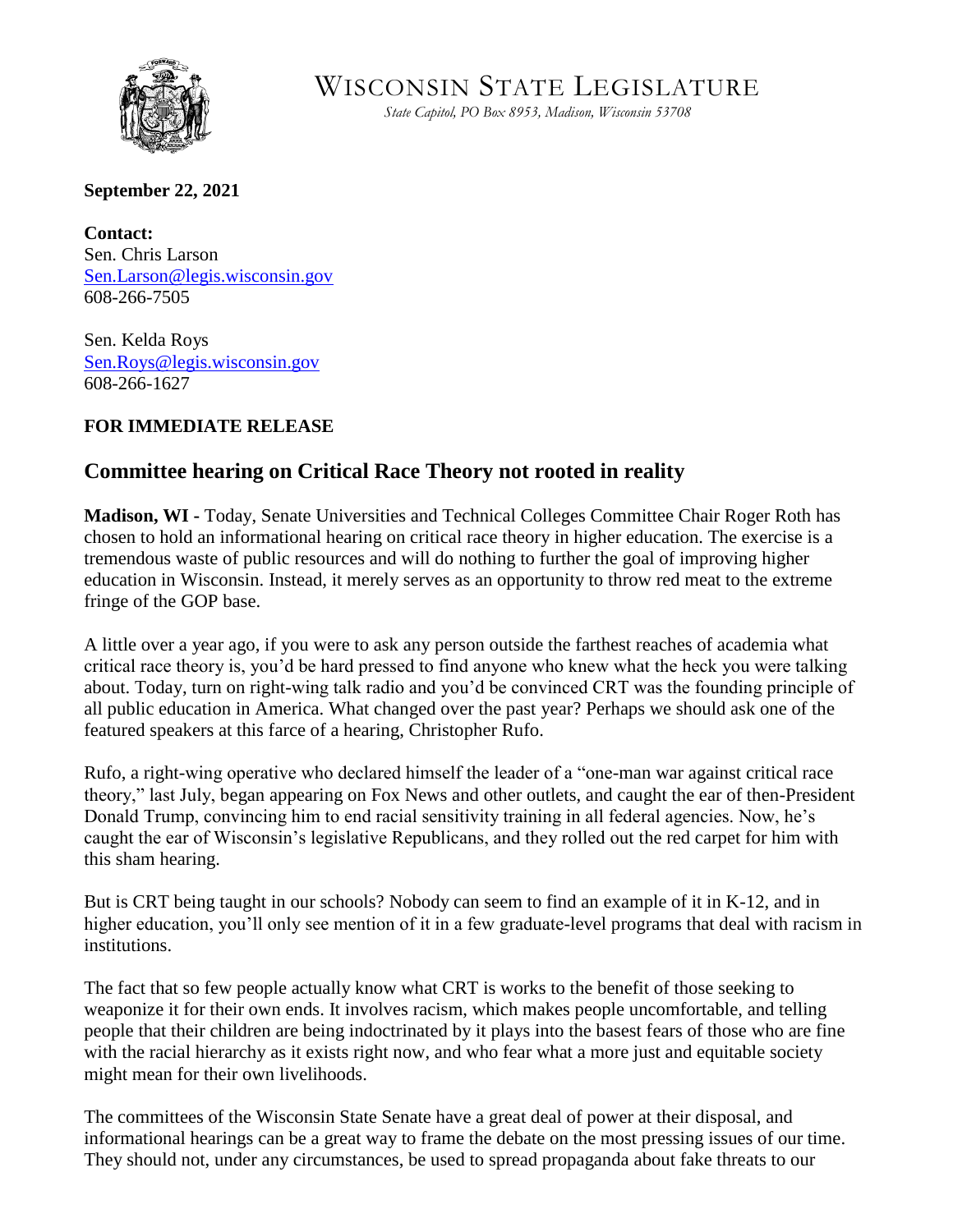

WISCONSIN STATE LEGISLATURE

*State Capitol, PO Box 8953, Madison, Wisconsin 53708* 

**September 22, 2021**

**Contact:** Sen. Chris Larson [Sen.Larson@legis.wisconsin.gov](mailto:Sen.Larson@legis.wisconsin.gov) 608-266-7505

Sen. Kelda Roys [Sen.Roys@legis.wisconsin.gov](mailto:Sen.Roys@legis.wisconsin.gov) 608-266-1627

## **FOR IMMEDIATE RELEASE**

## **Committee hearing on Critical Race Theory not rooted in reality**

**Madison, WI -** Today, Senate Universities and Technical Colleges Committee Chair Roger Roth has chosen to hold an informational hearing on critical race theory in higher education. The exercise is a tremendous waste of public resources and will do nothing to further the goal of improving higher education in Wisconsin. Instead, it merely serves as an opportunity to throw red meat to the extreme fringe of the GOP base.

A little over a year ago, if you were to ask any person outside the farthest reaches of academia what critical race theory is, you'd be hard pressed to find anyone who knew what the heck you were talking about. Today, turn on right-wing talk radio and you'd be convinced CRT was the founding principle of all public education in America. What changed over the past year? Perhaps we should ask one of the featured speakers at this farce of a hearing, Christopher Rufo.

Rufo, a right-wing operative who declared himself the leader of a "one-man war against critical race theory," last July, began appearing on Fox News and other outlets, and caught the ear of then-President Donald Trump, convincing him to end racial sensitivity training in all federal agencies. Now, he's caught the ear of Wisconsin's legislative Republicans, and they rolled out the red carpet for him with this sham hearing.

But is CRT being taught in our schools? Nobody can seem to find an example of it in K-12, and in higher education, you'll only see mention of it in a few graduate-level programs that deal with racism in institutions.

The fact that so few people actually know what CRT is works to the benefit of those seeking to weaponize it for their own ends. It involves racism, which makes people uncomfortable, and telling people that their children are being indoctrinated by it plays into the basest fears of those who are fine with the racial hierarchy as it exists right now, and who fear what a more just and equitable society might mean for their own livelihoods.

The committees of the Wisconsin State Senate have a great deal of power at their disposal, and informational hearings can be a great way to frame the debate on the most pressing issues of our time. They should not, under any circumstances, be used to spread propaganda about fake threats to our